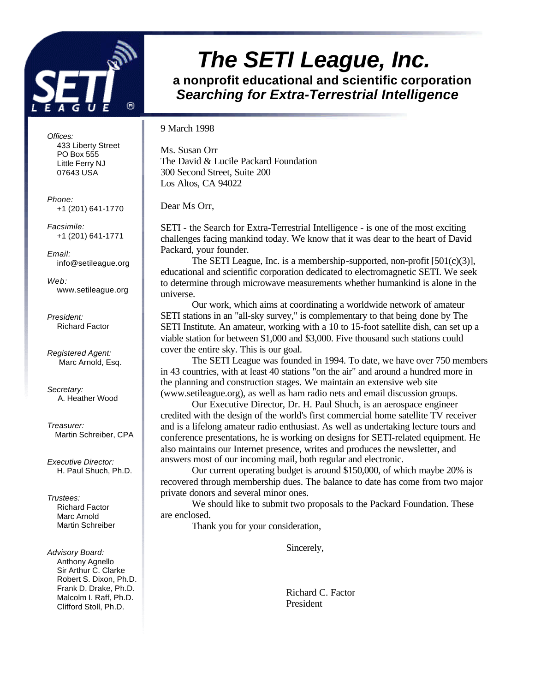

## *The SETI League, Inc.*

**a nonprofit educational and scientific corporation** *Searching for Extra-Terrestrial Intelligence*

9 March 1998

Ms. Susan Orr The David & Lucile Packard Foundation 300 Second Street, Suite 200 Los Altos, CA 94022

Dear Ms Orr,

SETI - the Search for Extra-Terrestrial Intelligence - is one of the most exciting challenges facing mankind today. We know that it was dear to the heart of David Packard, your founder.

The SETI League, Inc. is a membership-supported, non-profit [501(c)(3)], educational and scientific corporation dedicated to electromagnetic SETI. We seek to determine through microwave measurements whether humankind is alone in the universe.

Our work, which aims at coordinating a worldwide network of amateur SETI stations in an "all-sky survey," is complementary to that being done by The SETI Institute. An amateur, working with a 10 to 15-foot satellite dish, can set up a viable station for between \$1,000 and \$3,000. Five thousand such stations could cover the entire sky. This is our goal.

The SETI League was founded in 1994. To date, we have over 750 members in 43 countries, with at least 40 stations "on the air" and around a hundred more in the planning and construction stages. We maintain an extensive web site (www.setileague.org), as well as ham radio nets and email discussion groups.

Our Executive Director, Dr. H. Paul Shuch, is an aerospace engineer credited with the design of the world's first commercial home satellite TV receiver and is a lifelong amateur radio enthusiast. As well as undertaking lecture tours and conference presentations, he is working on designs for SETI-related equipment. He also maintains our Internet presence, writes and produces the newsletter, and answers most of our incoming mail, both regular and electronic.

Our current operating budget is around \$150,000, of which maybe 20% is recovered through membership dues. The balance to date has come from two major private donors and several minor ones.

We should like to submit two proposals to the Packard Foundation. These are enclosed.

Thank you for your consideration,

Sincerely,

Richard C. Factor President

*Offices:* 433 Liberty Street PO Box 555 Little Ferry NJ 07643 USA

*Phone:* +1 (201) 641-1770

*Facsimile:* +1 (201) 641-1771

*Email:* info@setileague.org

*Web:* www.setileague.org

*President:* Richard Factor

*Registered Agent:*  Marc Arnold, Esq.

*Secretary:* A. Heather Wood

*Treasurer:*  Martin Schreiber, CPA

*Executive Director:* H. Paul Shuch, Ph.D.

*Trustees:* Richard Factor Marc Arnold Martin Schreiber

*Advisory Board:* Anthony Agnello Sir Arthur C. Clarke Robert S. Dixon, Ph.D. Frank D. Drake, Ph.D. Malcolm I. Raff, Ph.D. Clifford Stoll, Ph.D.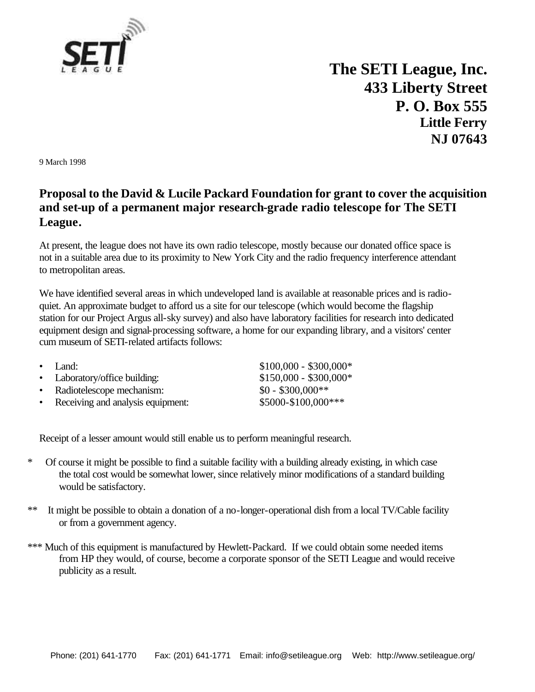

 **The SETI League, Inc. 433 Liberty Street P. O. Box 555 Little Ferry NJ 07643**

9 March 1998

## **Proposal to the David & Lucile Packard Foundation for grant to cover the acquisition and set-up of a permanent major research-grade radio telescope for The SETI League.**

At present, the league does not have its own radio telescope, mostly because our donated office space is not in a suitable area due to its proximity to New York City and the radio frequency interference attendant to metropolitan areas.

We have identified several areas in which undeveloped land is available at reasonable prices and is radioquiet. An approximate budget to afford us a site for our telescope (which would become the flagship station for our Project Argus all-sky survey) and also have laboratory facilities for research into dedicated equipment design and signal-processing software, a home for our expanding library, and a visitors' center cum museum of SETI-related artifacts follows:

| $\bullet$ Land:                     | $$100,000 - $300,000*$ |
|-------------------------------------|------------------------|
| • Laboratory/office building:       | $$150,000 - $300,000*$ |
| • Radiotelescope mechanism:         | $$0 - $300,000**$$     |
| • Receiving and analysis equipment: | \$5000-\$100,000***    |

Receipt of a lesser amount would still enable us to perform meaningful research.

- \* Of course it might be possible to find a suitable facility with a building already existing, in which case the total cost would be somewhat lower, since relatively minor modifications of a standard building would be satisfactory.
- \*\* It might be possible to obtain a donation of a no-longer-operational dish from a local TV/Cable facility or from a government agency.
- \*\*\* Much of this equipment is manufactured by Hewlett-Packard. If we could obtain some needed items from HP they would, of course, become a corporate sponsor of the SETI League and would receive publicity as a result.